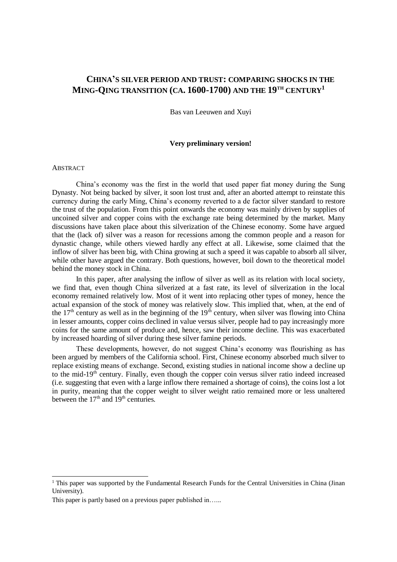# **CHINA'S SILVER PERIOD AND TRUST: COMPARING SHOCKS IN THE MING-QING TRANSITION (CA. 1600-1700) AND THE 19TH CENTURY<sup>1</sup>**

Bas van Leeuwen and Xuyi

# **Very preliminary version!**

# ABSTRACT

l

China's economy was the first in the world that used paper fiat money during the Sung Dynasty. Not being backed by silver, it soon lost trust and, after an aborted attempt to reinstate this currency during the early Ming, China's economy reverted to a de factor silver standard to restore the trust of the population. From this point onwards the economy was mainly driven by supplies of uncoined silver and copper coins with the exchange rate being determined by the market. Many discussions have taken place about this silverization of the Chinese economy. Some have argued that the (lack of) silver was a reason for recessions among the common people and a reason for dynastic change, while others viewed hardly any effect at all. Likewise, some claimed that the inflow of silver has been big, with China growing at such a speed it was capable to absorb all silver, while other have argued the contrary. Both questions, however, boil down to the theoretical model behind the money stock in China.

In this paper, after analysing the inflow of silver as well as its relation with local society, we find that, even though China silverized at a fast rate, its level of silverization in the local economy remained relatively low. Most of it went into replacing other types of money, hence the actual expansion of the stock of money was relatively slow. This implied that, when, at the end of the 17<sup>th</sup> century as well as in the beginning of the 19<sup>th</sup> century, when silver was flowing into China in lesser amounts, copper coins declined in value versus silver, people had to pay increasingly more coins for the same amount of produce and, hence, saw their income decline. This was exacerbated by increased hoarding of silver during these silver famine periods.

These developments, however, do not suggest China's economy was flourishing as has been argued by members of the California school. First, Chinese economy absorbed much silver to replace existing means of exchange. Second, existing studies in national income show a decline up to the mid-19<sup>th</sup> century. Finally, even though the copper coin versus silver ratio indeed increased (i.e. suggesting that even with a large inflow there remained a shortage of coins), the coins lost a lot in purity, meaning that the copper weight to silver weight ratio remained more or less unaltered between the  $17<sup>th</sup>$  and  $19<sup>th</sup>$  centuries.

<sup>&</sup>lt;sup>1</sup> This paper was supported by the Fundamental Research Funds for the Central Universities in China (Jinan University).

This paper is partly based on a previous paper published in…...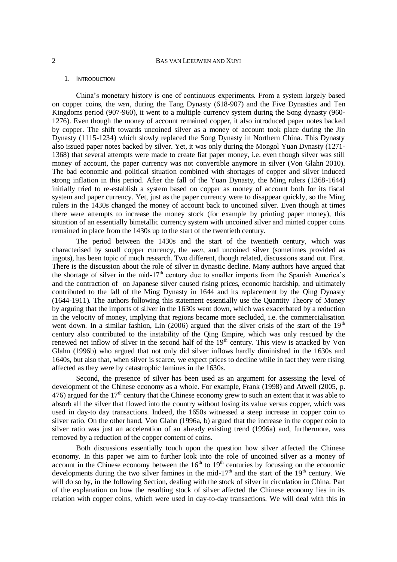# 1. INTRODUCTION

China's monetary history is one of continuous experiments. From a system largely based on copper coins, the *wen*, during the Tang Dynasty (618-907) and the Five Dynasties and Ten Kingdoms period (907-960), it went to a multiple currency system during the Song dynasty (960- 1276). Even though the money of account remained copper, it also introduced paper notes backed by copper. The shift towards uncoined silver as a money of account took place during the Jin Dynasty (1115-1234) which slowly replaced the Song Dynasty in Northern China. This Dynasty also issued paper notes backed by silver. Yet, it was only during the Mongol Yuan Dynasty (1271- 1368) that several attempts were made to create fiat paper money, i.e. even though silver was still money of account, the paper currency was not convertible anymore in silver (Von Glahn 2010). The bad economic and political situation combined with shortages of copper and silver induced strong inflation in this period. After the fall of the Yuan Dynasty, the Ming rulers (1368-1644) initially tried to re-establish a system based on copper as money of account both for its fiscal system and paper currency. Yet, just as the paper currency were to disappear quickly, so the Ming rulers in the 1430s changed the money of account back to uncoined silver. Even though at times there were attempts to increase the money stock (for example by printing paper money), this situation of an essentially bimetallic currency system with uncoined silver and minted copper coins remained in place from the 1430s up to the start of the twentieth century.

The period between the 1430s and the start of the twentieth century, which was characterised by small copper currency, the *wen*, and uncoined silver (sometimes provided as ingots), has been topic of much research. Two different, though related, discussions stand out. First. There is the discussion about the role of silver in dynastic decline. Many authors have argued that the shortage of silver in the mid-17<sup>th</sup> century due to smaller imports from the Spanish America's and the contraction of on Japanese silver caused rising prices, economic hardship, and ultimately contributed to the fall of the Ming Dynasty in 1644 and its replacement by the Qing Dynasty (1644-1911). The authors following this statement essentially use the Quantity Theory of Money by arguing that the imports of silver in the 1630s went down, which was exacerbated by a reduction in the velocity of money, implying that regions became more secluded, i.e. the commercialisation went down. In a similar fashion, Lin  $(2006)$  argued that the silver crisis of the start of the 19<sup>th</sup> century also contributed to the instability of the Qing Empire, which was only rescued by the renewed net inflow of silver in the second half of the  $19<sup>th</sup>$  century. This view is attacked by Von Glahn (1996b) who argued that not only did silver inflows hardly diminished in the 1630s and 1640s, but also that, when silver is scarce, we expect prices to decline while in fact they were rising affected as they were by catastrophic famines in the 1630s.

Second, the presence of silver has been used as an argument for assessing the level of development of the Chinese economy as a whole. For example, Frank (1998) and Atwell (2005, p. 476) argued for the  $17<sup>th</sup>$  century that the Chinese economy grew to such an extent that it was able to absorb all the silver that flowed into the country without losing its value versus copper, which was used in day-to day transactions. Indeed, the 1650s witnessed a steep increase in copper coin to silver ratio. On the other hand, Von Glahn (1996a, b) argued that the increase in the copper coin to silver ratio was just an acceleration of an already existing trend (1996a) and, furthermore, was removed by a reduction of the copper content of coins.

Both discussions essentially touch upon the question how silver affected the Chinese economy. In this paper we aim to further look into the role of uncoined silver as a money of account in the Chinese economy between the  $16<sup>th</sup>$  to  $19<sup>th</sup>$  centuries by focussing on the economic developments during the two silver famines in the mid-17<sup>th</sup> and the start of the 19<sup>th</sup> century. We will do so by, in the following Section, dealing with the stock of silver in circulation in China. Part of the explanation on how the resulting stock of silver affected the Chinese economy lies in its relation with copper coins, which were used in day-to-day transactions. We will deal with this in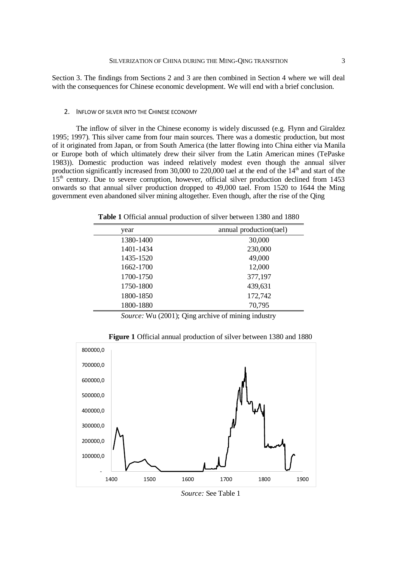Section 3. The findings from Sections 2 and 3 are then combined in Section 4 where we will deal with the consequences for Chinese economic development. We will end with a brief conclusion.

### 2. INFLOW OF SILVER INTO THE CHINESE ECONOMY

The inflow of silver in the Chinese economy is widely discussed (e.g. Flynn and Giraldez 1995; 1997). This silver came from four main sources. There was a domestic production, but most of it originated from Japan, or from South America (the latter flowing into China either via Manila or Europe both of which ultimately drew their silver from the Latin American mines (TePaske 1983)). Domestic production was indeed relatively modest even though the annual silver production significantly increased from 30,000 to 220,000 tael at the end of the  $14<sup>th</sup>$  and start of the  $15<sup>th</sup>$  century. Due to severe corruption, however, official silver production declined from 1453 onwards so that annual silver production dropped to 49,000 tael. From 1520 to 1644 the Ming government even abandoned silver mining altogether. Even though, after the rise of the Qing

**Table 1** Official annual production of silver between 1380 and 1880

| year      | annual production(tael) |
|-----------|-------------------------|
| 1380-1400 | 30,000                  |
| 1401-1434 | 230,000                 |
| 1435-1520 | 49,000                  |
| 1662-1700 | 12,000                  |
| 1700-1750 | 377,197                 |
| 1750-1800 | 439,631                 |
| 1800-1850 | 172,742                 |
| 1800-1880 | 70,795                  |

*Source:* Wu (2001); Qing archive of mining industry



**Figure 1** Official annual production of silver between 1380 and 1880

*Source:* See Table 1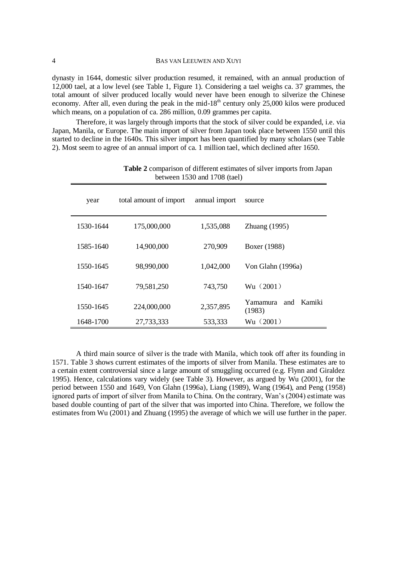| BAS VAN LEEUWEN AND XUYI                                                                     |  |
|----------------------------------------------------------------------------------------------|--|
|                                                                                              |  |
| dynasty in 1644, domestic silver production resumed it remained with an annual production of |  |

dynasty in 1644, domestic silver production resumed, it remained, with an annual production of 12,000 tael, at a low level (see Table 1, Figure 1). Considering a tael weighs ca. 37 grammes, the total amount of silver produced locally would never have been enough to silverize the Chinese economy. After all, even during the peak in the mid-18<sup>th</sup> century only 25,000 kilos were produced which means, on a population of ca. 286 million, 0.09 grammes per capita.

Therefore, it was largely through imports that the stock of silver could be expanded, i.e. via Japan, Manila, or Europe. The main import of silver from Japan took place between 1550 until this started to decline in the 1640s. This silver import has been quantified by many scholars (see Table 2). Most seem to agree of an annual import of ca. 1 million tael, which declined after 1650.

| $\sigma$ (then $\sigma$ ) $\sigma$ and $\sigma$ (then) |                        |               |                                     |  |  |  |
|--------------------------------------------------------|------------------------|---------------|-------------------------------------|--|--|--|
| year                                                   | total amount of import | annual import | source                              |  |  |  |
| 1530-1644                                              | 175,000,000            | 1,535,088     | Zhuang $(1995)$                     |  |  |  |
| 1585-1640                                              | 14,900,000             | 270,909       | Boxer (1988)                        |  |  |  |
| 1550-1645                                              | 98,990,000             | 1,042,000     | Von Glahn (1996a)                   |  |  |  |
| 1540-1647                                              | 79,581,250             | 743,750       | Wu (2001)                           |  |  |  |
| 1550-1645                                              | 224,000,000            | 2,357,895     | Kamiki<br>Yamamura<br>and<br>(1983) |  |  |  |
| 1648-1700                                              | 27,733,333             | 533,333       | Wu(2001)                            |  |  |  |

**Table 2** comparison of different estimates of silver imports from Japan between 1530 and 1708 (tael)

A third main source of silver is the trade with Manila, which took off after its founding in 1571. Table 3 shows current estimates of the imports of silver from Manila. These estimates are to a certain extent controversial since a large amount of smuggling occurred (e.g. Flynn and Giraldez 1995). Hence, calculations vary widely (see Table 3). However, as argued by Wu (2001), for the period between 1550 and 1649, Von Glahn (1996a), Liang (1989), Wang (1964), and Peng (1958) ignored parts of import of silver from Manila to China. On the contrary, Wan's (2004) estimate was based double counting of part of the silver that was imported into China. Therefore, we follow the estimates from Wu (2001) and Zhuang (1995) the average of which we will use further in the paper.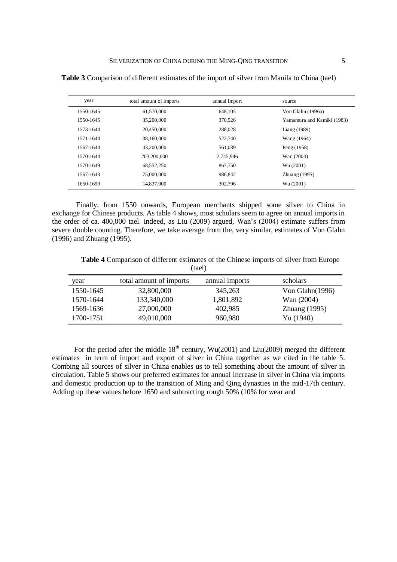| year      | total amount of imports | annual import | source                     |
|-----------|-------------------------|---------------|----------------------------|
| 1550-1645 | 61,570,000              | 648.105       | Von Glahn (1996a)          |
| 1550-1645 | 35,200,000              | 370.526       | Yamamura and Kamiki (1983) |
| 1573-1644 | 20.450,000              | 288,028       | Liang (1989)               |
| 1571-1644 | 38,160,000              | 522,740       | Wang (1964)                |
| 1567-1644 | 43,200,000              | 561,039       | Peng (1958)                |
| 1570-1644 | 203,200,000             | 2,745,946     | Wan (2004)                 |
| 1570-1649 | 68,552,250              | 867,750       | Wu (2001)                  |
| 1567-1643 | 75,000,000              | 986.842       | Zhuang $(1995)$            |
| 1650-1699 | 14,837,000              | 302.796       | Wu (2001)                  |

**Table 3** Comparison of different estimates of the import of silver from Manila to China (tael)

Finally, from 1550 onwards, European merchants shipped some silver to China in exchange for Chinese products. As table 4 shows, most scholars seem to agree on annual imports in the order of ca. 400,000 tael. Indeed, as Liu (2009) argued, Wan's (2004) estimate suffers from severe double counting. Therefore, we take average from the, very similar, estimates of Von Glahn (1996) and Zhuang (1995).

**Table 4** Comparison of different estimates of the Chinese imports of silver from Europe (tael)

| year      | total amount of imports | annual imports | scholars           |
|-----------|-------------------------|----------------|--------------------|
| 1550-1645 | 32,800,000              | 345,263        | Von Glahn $(1996)$ |
| 1570-1644 | 133,340,000             | 1,801,892      | Wan (2004)         |
| 1569-1636 | 27,000,000              | 402,985        | Zhuang $(1995)$    |
| 1700-1751 | 49,010,000              | 960,980        | Yu (1940)          |

For the period after the middle  $18<sup>th</sup>$  century, Wu(2001) and Liu(2009) merged the different estimates in term of import and export of silver in China together as we cited in the table 5. Combing all sources of silver in China enables us to tell something about the amount of silver in circulation. Table 5 shows our preferred estimates for annual increase in silver in China via imports and domestic production up to the transition of Ming and Qing dynasties in the mid-17th century. Adding up these values before 1650 and subtracting rough 50% (10% for wear and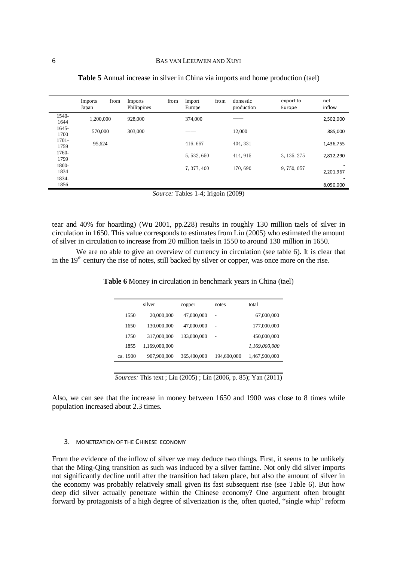|                  | from<br><b>Imports</b><br>Japan | <b>Imports</b><br>Philippines | from | import<br>Europe | from | domestic<br>production | export to<br>Europe | net<br>inflow |
|------------------|---------------------------------|-------------------------------|------|------------------|------|------------------------|---------------------|---------------|
| 1540-<br>1644    | 1,200,000                       | 928,000                       |      | 374,000          |      |                        |                     | 2,502,000     |
| $1645 -$<br>1700 | 570,000                         | 303,000                       |      |                  |      | 12,000                 |                     | 885,000       |
| 1701-<br>1759    | 95,624                          |                               |      | 416,667          |      | 404, 331               |                     | 1,436,755     |
| 1760-<br>1799    |                                 |                               |      | 5, 532, 650      |      | 414, 915               | 3, 135, 275         | 2,812,290     |
| 1800-<br>1834    |                                 |                               |      | 7, 377, 400      |      | 170,690                | 9,750,057           | 2,201,967     |
| 1834-<br>1856    |                                 |                               |      |                  |      |                        |                     | 8,050,000     |

**Table 5** Annual increase in silver in China via imports and home production (tael)

*Source:* Tables 1-4; Irigoin (2009)

tear and 40% for hoarding) (Wu 2001, pp.228) results in roughly 130 million taels of silver in circulation in 1650. This value corresponds to estimates from Liu (2005) who estimated the amount of silver in circulation to increase from 20 million taels in 1550 to around 130 million in 1650.

We are no able to give an overview of currency in circulation (see table 6). It is clear that in the 19<sup>th</sup> century the rise of notes, still backed by silver or copper, was once more on the rise.

|          | silver        | copper      | notes          | total         |
|----------|---------------|-------------|----------------|---------------|
| 1550     | 20,000,000    | 47,000,000  | $\overline{a}$ | 67,000,000    |
| 1650     | 130,000,000   | 47,000,000  | $\overline{a}$ | 177,000,000   |
| 1750     | 317,000,000   | 133,000,000 | $\overline{a}$ | 450,000,000   |
| 1855     | 1,169,000,000 |             |                | 1,169,000,000 |
| ca. 1900 | 907,900,000   | 365,400,000 | 194,600,000    | 1,467,900,000 |

**Table 6** Money in circulation in benchmark years in China (tael)

*Sources:* This text ; Liu (2005) ; Lin (2006, p. 85); Yan (2011)

Also, we can see that the increase in money between 1650 and 1900 was close to 8 times while population increased about 2.3 times.

# 3. MONETIZATION OF THE CHINESE ECONOMY

From the evidence of the inflow of silver we may deduce two things. First, it seems to be unlikely that the Ming-Qing transition as such was induced by a silver famine. Not only did silver imports not significantly decline until after the transition had taken place, but also the amount of silver in the economy was probably relatively small given its fast subsequent rise (see Table 6). But how deep did silver actually penetrate within the Chinese economy? One argument often brought forward by protagonists of a high degree of silverization is the, often quoted, "single whip" reform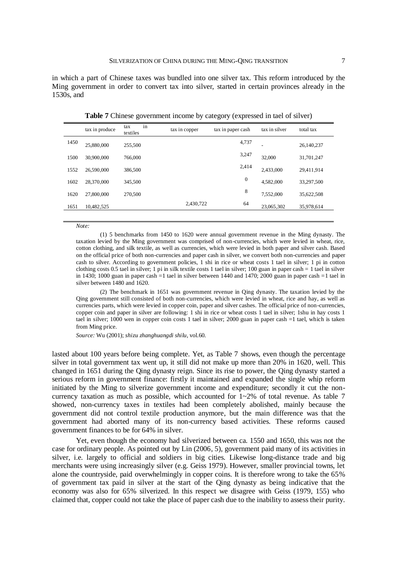in which a part of Chinese taxes was bundled into one silver tax. This reform introduced by the Ming government in order to convert tax into silver, started in certain provinces already in the 1530s, and

|      | tax in produce | in<br>tax<br>textiles | tax in copper | tax in paper cash | tax in silver | total tax  |
|------|----------------|-----------------------|---------------|-------------------|---------------|------------|
| 1450 | 25,880,000     | 255,500               |               | 4,737             | ۰             | 26,140,237 |
| 1500 | 30,900,000     | 766,000               |               | 3,247             | 32,000        | 31,701,247 |
| 1552 | 26,590,000     | 386,500               |               | 2,414             | 2,433,000     | 29,411,914 |
| 1602 | 28,370,000     | 345,500               |               | 0                 | 4,582,000     | 33,297,500 |
| 1620 | 27,800,000     | 270,500               |               | 8                 | 7,552,000     | 35,622,508 |
| 1651 | 10,482,525     |                       | 2,430,722     | 64                | 23,065,302    | 35,978,614 |

**Table 7** Chinese government income by category (expressed in tael of silver)

#### *Note:*

(1) 5 benchmarks from 1450 to 1620 were annual government revenue in the Ming dynasty. The taxation levied by the Ming government was comprised of non-currencies, which were levied in wheat, rice, cotton clothing, and silk textile, as well as currencies, which were levied in both paper and silver cash. Based on the official price of both non-currencies and paper cash in silver, we convert both non-currencies and paper cash to silver. According to government policies, 1 shi in rice or wheat costs 1 tael in silver; 1 pi in cotton clothing costs 0.5 tael in silver; 1 pi in silk textile costs 1 tael in silver; 100 guan in paper cash  $= 1$  tael in silver in 1430; 1000 guan in paper cash  $=1$  tael in silver between 1440 and 1470; 2000 guan in paper cash  $=1$  tael in silver between 1480 and 1620.

(2) The benchmark in 1651 was government revenue in Qing dynasty. The taxation levied by the Qing government still consisted of both non-currencies, which were levied in wheat, rice and hay, as well as currencies parts, which were levied in copper coin, paper and silver cashes. The official price of non-currencies, copper coin and paper in silver are following: 1 shi in rice or wheat costs 1 tael in silver; 1shu in hay costs 1 tael in silver; 1000 wen in copper coin costs 1 tael in silver; 2000 guan in paper cash =1 tael, which is taken from Ming price.

*Source:* Wu (2001); *shizu zhanghuangdi shilu*, vol.60.

lasted about 100 years before being complete. Yet, as Table 7 shows, even though the percentage silver in total government tax went up, it still did not make up more than 20% in 1620, well. This changed in 1651 during the Qing dynasty reign. Since its rise to power, the Qing dynasty started a serious reform in government finance: firstly it maintained and expanded the single whip reform initiated by the Ming to silverize government income and expenditure; secondly it cut the noncurrency taxation as much as possible, which accounted for 1~2% of total revenue. As table 7 showed, non-currency taxes in textiles had been completely abolished, mainly because the government did not control textile production anymore, but the main difference was that the government had aborted many of its non-currency based activities. These reforms caused government finances to be for 64% in silver.

Yet, even though the economy had silverized between ca. 1550 and 1650, this was not the case for ordinary people. As pointed out by Lin (2006, 5), government paid many of its activities in silver, i.e. largely to official and soldiers in big cities. Likewise long-distance trade and big merchants were using increasingly silver (e.g. Geiss 1979). However, smaller provincial towns, let alone the countryside, paid overwhelmingly in copper coins. It is therefore wrong to take the 65% of government tax paid in silver at the start of the Qing dynasty as being indicative that the economy was also for 65% silverized. In this respect we disagree with Geiss (1979, 155) who claimed that, copper could not take the place of paper cash due to the inability to assess their purity.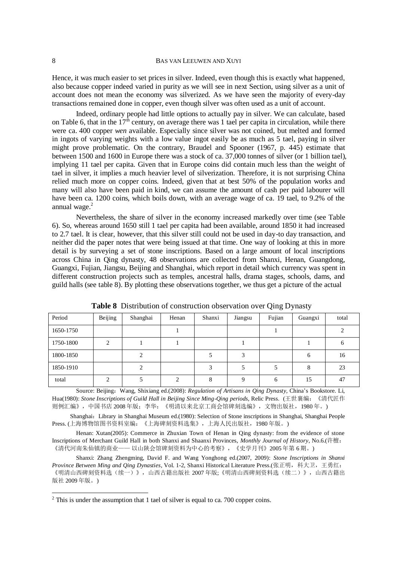Hence, it was much easier to set prices in silver. Indeed, even though this is exactly what happened, also because copper indeed varied in purity as we will see in next Section, using silver as a unit of account does not mean the economy was silverized. As we have seen the majority of every-day transactions remained done in copper, even though silver was often used as a unit of account.

Indeed, ordinary people had little options to actually pay in silver. We can calculate, based on Table 6, that in the  $17<sup>th</sup>$  century, on average there was 1 tael per capita in circulation, while there were ca. 400 copper *wen* available. Especially since silver was not coined, but melted and formed in ingots of varying weights with a low value ingot easily be as much as 5 tael, paying in silver might prove problematic. On the contrary, Braudel and Spooner (1967, p. 445) estimate that between 1500 and 1600 in Europe there was a stock of ca. 37,000 tonnes of silver (or 1 billion tael), implying 11 tael per capita. Given that in Europe coins did contain much less than the weight of tael in silver, it implies a much heavier level of silverization. Therefore, it is not surprising China relied much more on copper coins. Indeed, given that at best 50% of the population works and many will also have been paid in kind, we can assume the amount of cash per paid labourer will have been ca. 1200 coins, which boils down, with an average wage of ca. 19 tael, to 9.2% of the annual wage. $2$ 

Nevertheless, the share of silver in the economy increased markedly over time (see Table 6). So, whereas around 1650 still 1 tael per capita had been available, around 1850 it had increased to 2.7 tael. It is clear, however, that this silver still could not be used in day-to day transaction, and neither did the paper notes that were being issued at that time. One way of looking at this in more detail is by surveying a set of stone inscriptions. Based on a large amount of local inscriptions across China in Qing dynasty, 48 observations are collected from Shanxi, Henan, Guangdong, Guangxi, Fujian, Jiangsu, Beijing and Shanghai, which report in detail which currency was spent in different construction projects such as temples, ancestral halls, drama stages, schools, dams, and guild halls (see table 8). By plotting these observations together, we thus get a picture of the actual

| Period    | Beijing | Shanghai | Henan | Shanxi  | Jiangsu  | Fujian | Guangxi | total |
|-----------|---------|----------|-------|---------|----------|--------|---------|-------|
| 1650-1750 |         |          |       |         |          |        |         |       |
| 1750-1800 | ◠       |          |       |         |          |        |         | 6     |
| 1800-1850 |         | ∍        |       |         |          |        | 6       | 16    |
| 1850-1910 |         | ↑        |       | 3       |          |        | 8       | 23    |
| total     |         |          |       | $\circ$ | $\Omega$ | 6      | 15      | 47    |

**Table 8** Distribution of construction observation over Qing Dynasty

Source: Beijing: Wang, Shixiang ed.(2008): *Regulation of Artisans in Qing Dynasty*, China's Bookstore. Li, Hua(1980): *Stone Inscriptions of Guild Hall in Beijing Since Ming-Qing periods,* Relic Press. (王世襄编:《清代匠作 则例汇编》,中国书店 2008 年版;李华:《明清以来北京工商会馆碑刻选编》,文物出版社,1980 年。)

Shanghai:Library in Shanghai Museum ed.(1980): Selection of Stone inscriptions in Shanghai, Shanghai People Press. (上海博物馆图书资料室编:《上海碑刻资料选集》,上海人民出版社,1980 年版。)

Henan: Xutan(2005): Commerce in Zhuxian Town of Henan in Qing dynasty: from the evidence of stone Inscriptions of Merchant Guild Hall in both Shanxi and Shaanxi Provinces, *Monthly Journal of History*, No.6.(许檀: 《清代河南朱仙镇的商业—— 以山陕会馆碑刻资料为中心的考察》,《史学月刊》2005 年第 6 期。)

Shanxi: Zhang Zhengming, David F. and Wang Yonghong ed.(2007, 2009): *Stone Inscriptions in Shanxi Province Between Ming and Qing Dynasties*, Vol. 1-2, Shanxi Historical Literature Press.(张正明,科大卫,王勇红: 《明清山西碑刻资料选(续一)》,山西古籍出版社 2007 年版;《明清山西碑刻资料选(续二)》,山西古籍出 版社 2009 年版。)

 $\overline{a}$ 

 $2$  This is under the assumption that 1 tael of silver is equal to ca. 700 copper coins.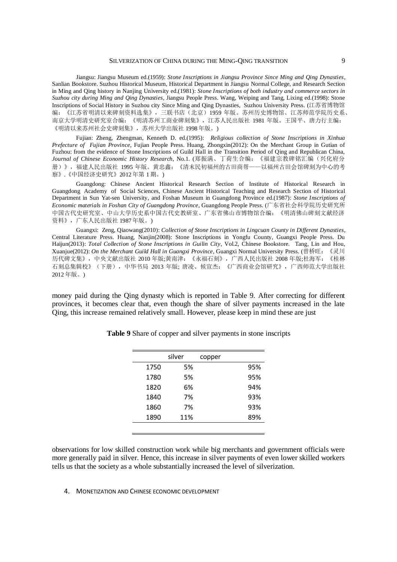Jiangsu: Jiangsu Museum ed.(1959): *Stone Inscriptions in Jiangsu Province Since Ming and Qing Dynasties*, Sanlian Bookstore. Suzhou Historical Museum, Historical Department in Jiangsu Normal College, and Research Section in Ming and Qing history in Nanjing University ed.(1981): *Stone Inscriptions of both industry and commerce sectors in Suzhou city during Ming and Qing Dynasties*, Jiangsu People Press. Wang, Weiping and Tang, Lixing ed.(1998): Stone Inscriptions of Social History in Suzhou city Since Ming and Qing Dynasties, Suzhou University Press. (江苏省博物馆 编:《江苏省明清以来碑刻资料选集》,三联书店(北京)1959 年版。苏州历史博物馆、江苏师范学院历史系、 南京大学明清史研究室合编:《明清苏州工商业碑刻集》,江苏人民出版社 1981 年版。王国平、唐力行主编: 《明清以来苏州社会史碑刻集》,苏州大学出版社 1998 年版。)

Fujian: Zheng, Zhengman, Kenneth D. ed.(1995): *Religious collection of Stone Inscriptions in Xinhua Prefecture of Fujian Province*, Fujian People Press. Huang, Zhongxin(2012): On the Merchant Group in Gutian of Fuzhou: from the evidence of Stone Inscriptions of Guild Hall in the Transition Period of Qing and Republican China, *Journal of Chinese Economic History Research*, No.1. (郑振满、丁荷生合编:《福建宗教碑铭汇编(兴化府分 册)》,福建人民出版社 1995 年版。黄忠鑫:《清末民初福州的古田商帮——以福州古田会馆碑刻为中心的考 察》.《中国经济史研究》2012 年第 1 期。)

Guangdong: Chinese Ancient Historical Research Section of Institute of Historical Research in Guangdong Academy of Social Sciences, Chinese Ancient Historical Teaching and Research Section of Historical Department in Sun Yat-sen University, and Foshan Museum in Guangdong Province ed.(1987): *Stone Inscriptions of Economic materials in Foshan City of Guangdong Province*, Guangdong People Press. (广东省社会科学院历史研究所 中国古代史研究室、中山大学历史系中国古代史教研室、广东省佛山市博物馆合编:《明清佛山碑刻文献经济 资料》,广东人民出版社 1987 年版。)

Guangxi: Zeng, Qiaowang(2010): *Collection of Stone Inscriptions in Lingcuan County in Different Dynasties*, Central Literature Press. Huang, Nanjin(2008): Stone Inscriptions in Yongfu County, Guangxi People Press. Du Haijun(2013): *Total Collection of Stone Inscriptions in Guilin City*, Vol.2, Chinese Bookstore. Tang, Lin and Hou, Xuanjue(2012): *On the Merchant Guild Hall in Guangxi Province*, Guangxi Normal University Press. (曾桥旺:《灵川 历代碑文集》,中央文献出版社 2010 年版;黄南津:《永福石刻》,广西人民出版社 2008 年版;杜海军:《桂林 石刻总集辑校》(下册),中华书局 2013 年版; 唐凌、候宣杰:《广西商业会馆研究》,广西师范大学出版社 2012 年版。)

money paid during the Qing dynasty which is reported in Table 9. After correcting for different provinces, it becomes clear that, even though the share of silver payments increased in the late Qing, this increase remained relatively small. However, please keep in mind these are just

|      | silver | copper |     |
|------|--------|--------|-----|
| 1750 | 5%     |        | 95% |
| 1780 | 5%     |        | 95% |
| 1820 | 6%     |        | 94% |
| 1840 | 7%     |        | 93% |
| 1860 | 7%     |        | 93% |
| 1890 | 11%    |        | 89% |
|      |        |        |     |

**Table 9** Share of copper and silver payments in stone inscripts

observations for low skilled construction work while big merchants and government officials were more generally paid in silver. Hence, this increase in silver payments of even lower skilled workers tells us that the society as a whole substantially increased the level of silverization.

### 4. MONETIZATION AND CHINESE ECONOMIC DEVELOPMENT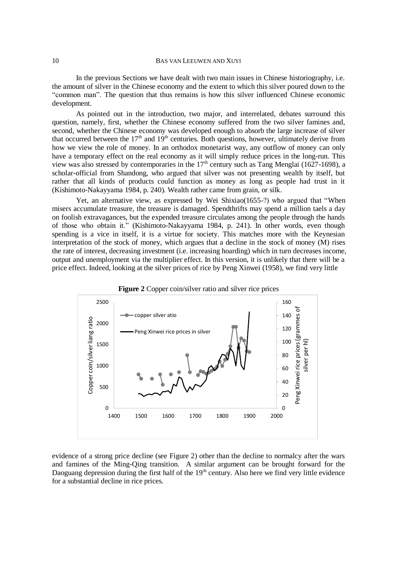In the previous Sections we have dealt with two main issues in Chinese historiography, i.e. the amount of silver in the Chinese economy and the extent to which this silver poured down to the "common man". The question that thus remains is how this silver influenced Chinese economic development.

As pointed out in the introduction, two major, and interrelated, debates surround this question, namely, first, whether the Chinese economy suffered from the two silver famines and, second, whether the Chinese economy was developed enough to absorb the large increase of silver that occurred between the  $17<sup>th</sup>$  and  $19<sup>th</sup>$  centuries. Both questions, however, ultimately derive from how we view the role of money. In an orthodox monetarist way, any outflow of money can only have a temporary effect on the real economy as it will simply reduce prices in the long-run. This view was also stressed by contemporaries in the  $17<sup>th</sup>$  century such as Tang Menglai (1627-1698), a scholar-official from Shandong, who argued that silver was not presenting wealth by itself, but rather that all kinds of products could function as money as long as people had trust in it (Kishimoto-Nakayyama 1984, p. 240). Wealth rather came from grain, or silk.

Yet, an alternative view, as expressed by Wei Shixiao(1655-?) who argued that "When misers accumulate treasure, the treasure is damaged. Spendthrifts may spend a million taels a day on foolish extravagances, but the expended treasure circulates among the people through the hands of those who obtain it." (Kishimoto-Nakayyama 1984, p. 241). In other words, even though spending is a vice in itself, it is a virtue for society. This matches more with the Keynesian interpretation of the stock of money, which argues that a decline in the stock of money (M) rises the rate of interest, decreasing investment (i.e. increasing hoarding) which in turn decreases income, output and unemployment via the multiplier effect. In this version, it is unlikely that there will be a price effect. Indeed, looking at the silver prices of rice by Peng Xinwei (1958), we find very little





evidence of a strong price decline (see Figure 2) other than the decline to normalcy after the wars and famines of the Ming-Qing transition. A similar argument can be brought forward for the Daoguang depression during the first half of the  $19<sup>th</sup>$  century. Also here we find very little evidence for a substantial decline in rice prices.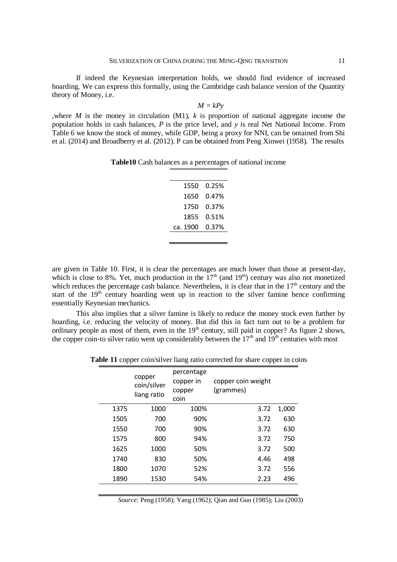If indeed the Keynesian interpretation holds, we should find evidence of increased hoarding. We can express this formally, using the Cambridge cash balance version of the Quantity theory of Money, i.e.

$$
M = kPy
$$

,where *M* is the money in circulation (M1), *k* is proportion of national aggregate income the population holds in cash balances, *P* is the price level, and *y* is real Net National Income. From Table 6 we know the stock of money, while GDP, being a proxy for NNI, can be ontained from Shi et al. (2014) and Broadberry et al. (2012). P can be obtained from Peng Xinwei (1958). The results

| 1550     | 0.25% |
|----------|-------|
| 1650     | 0.47% |
| 1750     | 0.37% |
| 1855     | 0.51% |
| ca. 1900 | 0.37% |
|          |       |

are given in Table 10. First, it is clear the percentages are much lower than those at present-day, which is close to 8%. Yet, much production in the  $17<sup>th</sup>$  (and  $19<sup>th</sup>$ ) century was also not monetized which reduces the percentage cash balance. Nevertheless, it is clear that in the  $17<sup>th</sup>$  century and the start of the  $19<sup>th</sup>$  century hoarding went up in reaction to the silver famine hence confirming essentially Keynesian mechanics.

This also implies that a silver famine is likely to reduce the money stock even further by hoarding, i.e. reducing the velocity of money. But did this in fact turn out to be a problem for ordinary people as most of them, even in the 19<sup>th</sup> century, still paid in copper? As figure 2 shows, the copper coin-to silver ratio went up considerably between the  $17<sup>th</sup>$  and  $19<sup>th</sup>$  centuries with most

**Table 11** copper coin/silver liang ratio corrected for share copper in coins

|      | copper<br>coin/silver<br>liang ratio | percentage<br>copper in<br>copper<br>coin | copper coin weight<br>(grammes) |       |
|------|--------------------------------------|-------------------------------------------|---------------------------------|-------|
| 1375 | 1000                                 | 100%                                      | 3.72                            | 1,000 |
| 1505 | 700                                  | 90%                                       | 3.72                            | 630   |
| 1550 | 700                                  | 90%                                       | 3.72                            | 630   |
| 1575 | 800                                  | 94%                                       | 3.72                            | 750   |
| 1625 | 1000                                 | 50%                                       | 3.72                            | 500   |
| 1740 | 830                                  | 50%                                       | 4.46                            | 498   |
| 1800 | 1070                                 | 52%                                       | 3.72                            | 556   |
| 1890 | 1530                                 | 54%                                       | 2.23                            | 496   |
|      |                                      |                                           |                                 |       |

*Source:* Peng (1958); Yang (1962); Qian and Guo (1985); Liu (2003)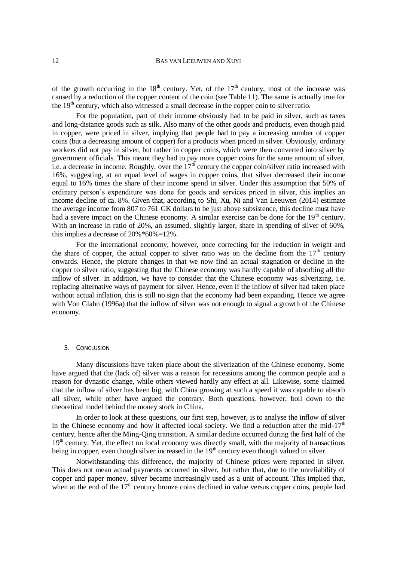of the growth occurring in the  $18<sup>th</sup>$  century. Yet, of the 17<sup>th</sup> century, most of the increase was caused by a reduction of the copper content of the coin (see Table 11). The same is actually true for the  $19<sup>th</sup>$  century, which also witnessed a small decrease in the copper coin to silver ratio.

For the population, part of their income obviously had to be paid in silver, such as taxes and long-distance goods such as silk. Also many of the other goods and products, even though paid in copper, were priced in silver, implying that people had to pay a increasing number of copper coins (but a decreasing amount of copper) for a products when priced in silver. Obviously, ordinary workers did not pay in silver, but rather in copper coins, which were then converted into silver by government officials. This meant they had to pay more copper coins for the same amount of silver, i.e. a decrease in income. Roughly, over the  $17<sup>th</sup>$  century the copper coin/silver ratio increased with 16%, suggesting, at an equal level of wages in copper coins, that silver decreased their income equal to 16% times the share of their income spend in silver. Under this assumption that 50% of ordinary person's expenditure was done for goods and services priced in silver, this implies an income decline of ca. 8%. Given that, according to Shi, Xu, Ni and Van Leeuwen (2014) estimate the average income from 807 to 761 GK dollars to be just above subsistence, this decline must have had a severe impact on the Chinese economy. A similar exercise can be done for the  $19<sup>th</sup>$  century. With an increase in ratio of 20%, an assumed, slightly larger, share in spending of silver of 60%, this implies a decrease of 20%\*60%=12%.

For the international economy, however, once correcting for the reduction in weight and the share of copper, the actual copper to silver ratio was on the decline from the  $17<sup>th</sup>$  century onwards. Hence, the picture changes in that we now find an actual stagnation or decline in the copper to silver ratio, suggesting that the Chinese economy was hardly capable of absorbing all the inflow of silver. In addition, we have to consider that the Chinese economy was silverizing, i.e. replacing alternative ways of payment for silver. Hence, even if the inflow of silver had taken place without actual inflation, this is still no sign that the economy had been expanding. Hence we agree with Von Glahn (1996a) that the inflow of silver was not enough to signal a growth of the Chinese economy.

# 5. CONCLUSION

Many discussions have taken place about the silverization of the Chinese economy. Some have argued that the (lack of) silver was a reason for recessions among the common people and a reason for dynastic change, while others viewed hardly any effect at all. Likewise, some claimed that the inflow of silver has been big, with China growing at such a speed it was capable to absorb all silver, while other have argued the contrary. Both questions, however, boil down to the theoretical model behind the money stock in China.

In order to look at these questions, our first step, however, is to analyse the inflow of silver in the Chinese economy and how it affected local society. We find a reduction after the mid-17<sup>th</sup> century, hence after the Ming-Qing transition. A similar decline occurred during the first half of the 19<sup>th</sup> century. Yet, the effect on local economy was directly small, with the majority of transactions being in copper, even though silver increased in the 19<sup>th</sup> century even though valued in silver.

Notwithstanding this difference, the majority of Chinese prices were reported in silver. This does not mean actual payments occurred in silver, but rather that, due to the unreliability of copper and paper money, silver became increasingly used as a unit of account. This implied that, when at the end of the  $17<sup>th</sup>$  century bronze coins declined in value versus copper coins, people had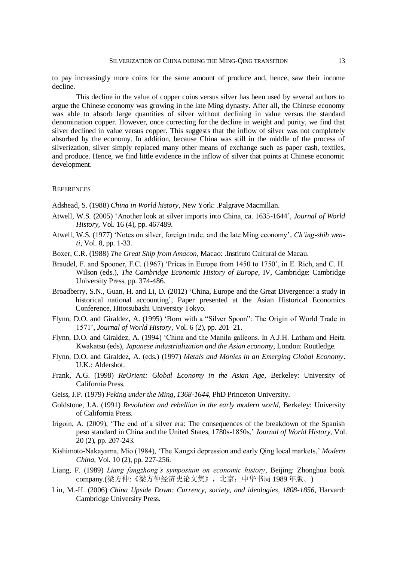to pay increasingly more coins for the same amount of produce and, hence, saw their income decline.

This decline in the value of copper coins versus silver has been used by several authors to argue the Chinese economy was growing in the late Ming dynasty. After all, the Chinese economy was able to absorb large quantities of silver without declining in value versus the standard denomination copper. However, once correcting for the decline in weight and purity, we find that silver declined in value versus copper. This suggests that the inflow of silver was not completely absorbed by the economy. In addition, because China was still in the middle of the process of silverization, silver simply replaced many other means of exchange such as paper cash, textiles, and produce. Hence, we find little evidence in the inflow of silver that points at Chinese economic development.

### **REFERENCES**

Adshead, S. (1988) *China in World history,* New York: .Palgrave Macmillan.

- Atwell, W.S. (2005) 'Another look at silver imports into China, ca. 1635-1644', *Journal of World History,* Vol. 16 (4), pp. 467489.
- Atwell, W.S. (1977) 'Notes on silver, foreign trade, and the late Ming economy', *Ch'ing-shih wenti*, Vol. 8, pp. 1-33.
- Boxer, C.R. (1988) *The Great Ship from Amacon,* Macao: .Instituto Cultural de Macau.
- Braudel, F. and Spooner, F.C. (1967) 'Prices in Europe from 1450 to 1750', in E. Rich, and C. H. Wilson (eds.), *The Cambridge Economic History of Europe*, IV, Cambridge: Cambridge University Press, pp. 374-486.
- Broadberry, S.N., Guan, H. and Li, D. (2012) 'China, Europe and the Great Divergence: a study in historical national accounting', Paper presented at the Asian Historical Economics Conference, Hitotsubashi University Tokyo.
- Flynn, D.O. and Giraldez, A. (1995) 'Born with a "Silver Spoon": The Origin of World Trade in 1571', *Journal of World History,* Vol. 6 (2), pp. 201–21.
- Flynn, D.O. and Giraldez, A. (1994) 'China and the Manila galleons. In A.J.H. Latham and Heita Kwakatsu (eds), *Japanese industrialization and the Asian economy,* London: Routledge.
- Flynn, D.O. and Giraldez, A. (eds.) (1997) *Metals and Monies in an Emerging Global Economy*. U.K.: Aldershot.
- Frank, A.G. (1998) *ReOrient: Global Economy in the Asian Age,* Berkeley: University of California Press.
- Geiss, J.P. (1979) *Peking under the Ming, 1368-1644*, PhD Princeton University.
- Goldstone, J.A. (1991) *Revolution and rebellion in the early modern world,* Berkeley: University of California Press.
- Irigoin, A. (2009), 'The end of a silver era: The consequences of the breakdown of the Spanish peso standard in China and the United States, 1780s-1850s,' *Journal of World History,* Vol. 20 (2), pp. 207-243.
- Kishimoto-Nakayama, Mio (1984), 'The Kangxi depression and early Qing local markets,' *Modern China,* Vol. 10 (2), pp. 227-256.
- Liang, F. (1989) *Liang fangzhong's symposium on economic history*, Beijing: Zhonghua book company.(梁方仲:《梁方仲经济史论文集》, 北京: 中华书局 1989 年版。)
- Lin, M.-H. (2006) *China Upside Down: Currency, society, and ideologies, 1808-1856, Harvard:* Cambridge University Press.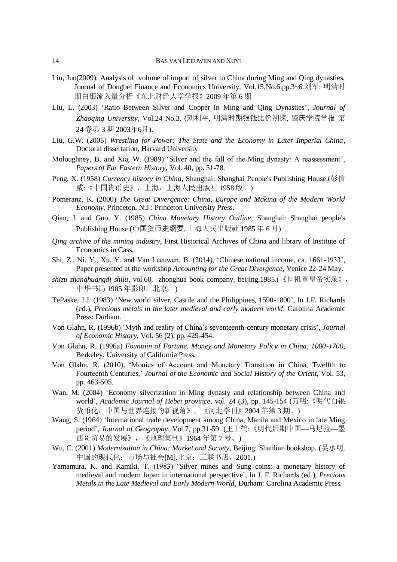- Liu, Jun(2009): Analysis of volume of import of silver to China during Ming and Qing dynasties, Journal of Dongbei Finance and Economics University, Vol.15,No.6,pp.3~6.刘军: 明清时 期白银流入量分析《东北财经大学学报》2009 年第 6 期
- Liu, L. (2003) 'Ratio Between Silver and Copper in Ming and Qing Dynasties', *Journal of Zhaoqing University*, Vol.24 No.3. (刘利平, 明清时期银钱比价初探, 肇庆学院学报 第 24 卷第 3 期 2003年6月).
- Liu, G.W. (2005) *Wrestling for Power: The State and the Economy in Later Imperial China*, Doctoral dissertation, Harvard University
- Moloughney, B. and Xia, W. (1989) 'Silver and the fall of the Ming dynasty: A reassessment', *Papers of Far Eastern History,* Vol. 40, pp. 51-78.
- Peng, X. (1958) *Currency history in China*, Shanghai: Shanghai People's Publishing House.(彭信 威:《中国货币史》,上海:上海人民出版社 1958 版。)
- Pomeranz, K. (2000) *The Great Divergence: China, Europe and Making of the Modern World Economy,* Princeton, N.J.: Princeton University Press.
- Qian, J. and Guo, Y. (1985) *China Monetary History Outline*, Shanghai: Shanghai people's Publishing House (中国货币史纲要, 上海人民出版社 1985 年 6 月)
- *Qing archive of the mining industry*, First Historical Archives of China and library of Institute of Economics in Cass.
- Shi, Z., Ni, Y., Xu, Y. and Van Leeuwen, B. (2014), 'Chinese national income, ca. 1661-1933', Paper presented at the workshop *Accounting for the Great Divergence,* Venice 22-24 May.
- *shizu zhanghuangdi shilu*, vol.60, zhonghua book company, beijing,1985.(《世祖章皇帝实录》, 中华书局 1985 年影印, 北京。)
- TePaske, J.J. (1983) 'New world silver, Castile and the Philippines, 1590-1800', In J.F. Richards (ed.), *Precious metals in the later medieval and early modern world,* Carolina Academic Press: Durham.
- Von Glahn, R. (1996b) 'Myth and reality of China's seventeenth-century monetary crisis', *Journal of Economic History,* Vol. 56 (2), pp. 429-454.
- Von Glahn, R. (1996a) *Fountain of Fortune. Money and Monetary Policy in China, 1000-1700*, Berkeley: University of California Press.
- Von Glahn, R. (2010), 'Monies of Account and Monetary Transition in China, Twelfth to Fourteenth Centuries,' *Journal of the Economic and Social History of the Orient,* Vol. 53, pp. 463-505.
- Wan, M. (2004) 'Economy silverization in Ming dynasty and relationship between China and world', *Academic Journal of Hebei province*, vol. 24 (3), pp. 145-154 (万明:《明代白银 货币化:中国与世界连接的新视角》,《河北学刊》2004 年第 3 期。)
- Wang, S. (1964) 'International trade development among China, Manila and Mexico in late Ming period', *Journal of Geography*, Vol.7, pp.31-59. (王士鹤:《明代后期中国—马尼拉—墨 西哥贸易的发展》,《地理集刊》1964 年第 7 号。)
- Wu, C. (2001) *Modernization in China: Market and Society*, Beijing: Shanlian bookshop. (吴承明. 中国的现代化: 市场与社会[M].北京: 三联书店, 2001.)
- Yamamura, K. and Kamiki, T. (1983) 'Silver mines and Sung coins: a monetary history of medieval and modern Japan in international perspective', In J. F. Richards (ed.), *Precious Metals in the Late Medieval and Early Modern World*, Durham: Carolina Academic Press.